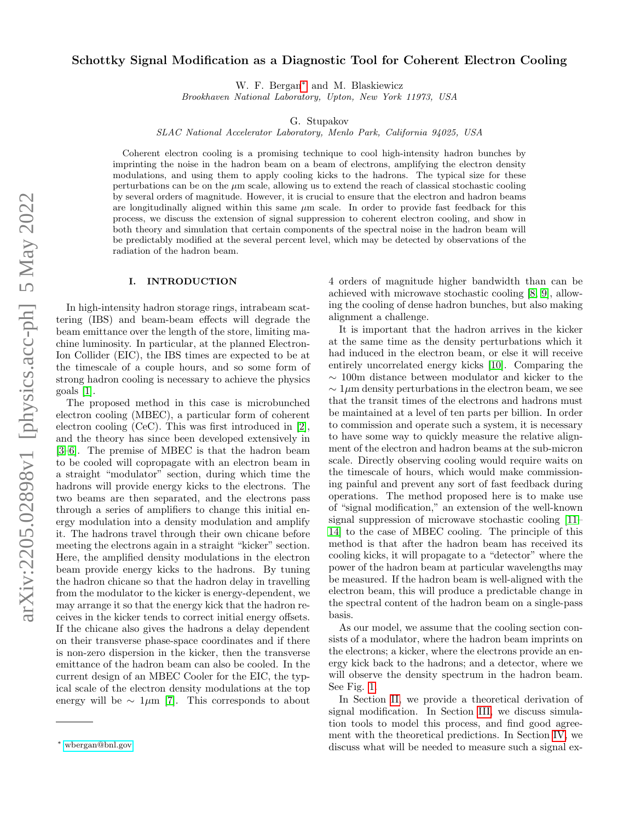# Schottky Signal Modification as a Diagnostic Tool for Coherent Electron Cooling

W. F. Bergan[∗](#page-0-0) and M. Blaskiewicz

Brookhaven National Laboratory, Upton, New York 11973, USA

G. Stupakov

SLAC National Accelerator Laboratory, Menlo Park, California 94025, USA

Coherent electron cooling is a promising technique to cool high-intensity hadron bunches by imprinting the noise in the hadron beam on a beam of electrons, amplifying the electron density modulations, and using them to apply cooling kicks to the hadrons. The typical size for these perturbations can be on the  $\mu$ m scale, allowing us to extend the reach of classical stochastic cooling by several orders of magnitude. However, it is crucial to ensure that the electron and hadron beams are longitudinally aligned within this same  $\mu$ m scale. In order to provide fast feedback for this process, we discuss the extension of signal suppression to coherent electron cooling, and show in both theory and simulation that certain components of the spectral noise in the hadron beam will be predictably modified at the several percent level, which may be detected by observations of the radiation of the hadron beam.

### I. INTRODUCTION

In high-intensity hadron storage rings, intrabeam scattering (IBS) and beam-beam effects will degrade the beam emittance over the length of the store, limiting machine luminosity. In particular, at the planned Electron-Ion Collider (EIC), the IBS times are expected to be at the timescale of a couple hours, and so some form of strong hadron cooling is necessary to achieve the physics goals [\[1\]](#page-14-0).

The proposed method in this case is microbunched electron cooling (MBEC), a particular form of coherent electron cooling (CeC). This was first introduced in [\[2\]](#page-14-1), and the theory has since been developed extensively in [\[3–](#page-14-2)[6\]](#page-14-3). The premise of MBEC is that the hadron beam to be cooled will copropagate with an electron beam in a straight "modulator" section, during which time the hadrons will provide energy kicks to the electrons. The two beams are then separated, and the electrons pass through a series of amplifiers to change this initial energy modulation into a density modulation and amplify it. The hadrons travel through their own chicane before meeting the electrons again in a straight "kicker" section. Here, the amplified density modulations in the electron beam provide energy kicks to the hadrons. By tuning the hadron chicane so that the hadron delay in travelling from the modulator to the kicker is energy-dependent, we may arrange it so that the energy kick that the hadron receives in the kicker tends to correct initial energy offsets. If the chicane also gives the hadrons a delay dependent on their transverse phase-space coordinates and if there is non-zero dispersion in the kicker, then the transverse emittance of the hadron beam can also be cooled. In the current design of an MBEC Cooler for the EIC, the typical scale of the electron density modulations at the top energy will be  $\sim 1 \mu m$  [\[7\]](#page-14-4). This corresponds to about

4 orders of magnitude higher bandwidth than can be achieved with microwave stochastic cooling [\[8,](#page-14-5) [9\]](#page-14-6), allowing the cooling of dense hadron bunches, but also making alignment a challenge.

It is important that the hadron arrives in the kicker at the same time as the density perturbations which it had induced in the electron beam, or else it will receive entirely uncorrelated energy kicks [\[10\]](#page-14-7). Comparing the ∼ 100m distance between modulator and kicker to the  $\sim 1 \mu$ m density perturbations in the electron beam, we see that the transit times of the electrons and hadrons must be maintained at a level of ten parts per billion. In order to commission and operate such a system, it is necessary to have some way to quickly measure the relative alignment of the electron and hadron beams at the sub-micron scale. Directly observing cooling would require waits on the timescale of hours, which would make commissioning painful and prevent any sort of fast feedback during operations. The method proposed here is to make use of "signal modification," an extension of the well-known signal suppression of microwave stochastic cooling [\[11–](#page-14-8) [14\]](#page-14-9) to the case of MBEC cooling. The principle of this method is that after the hadron beam has received its cooling kicks, it will propagate to a "detector" where the power of the hadron beam at particular wavelengths may be measured. If the hadron beam is well-aligned with the electron beam, this will produce a predictable change in the spectral content of the hadron beam on a single-pass basis.

As our model, we assume that the cooling section consists of a modulator, where the hadron beam imprints on the electrons; a kicker, where the electrons provide an energy kick back to the hadrons; and a detector, where we will observe the density spectrum in the hadron beam. See Fig. [1.](#page-1-0)

In Section [II,](#page-1-1) we provide a theoretical derivation of signal modification. In Section [III,](#page-3-0) we discuss simulation tools to model this process, and find good agreement with the theoretical predictions. In Section [IV,](#page-5-0) we discuss what will be needed to measure such a signal ex-

<span id="page-0-0"></span><sup>∗</sup> [wbergan@bnl.gov](mailto:wbergan@bnl.gov)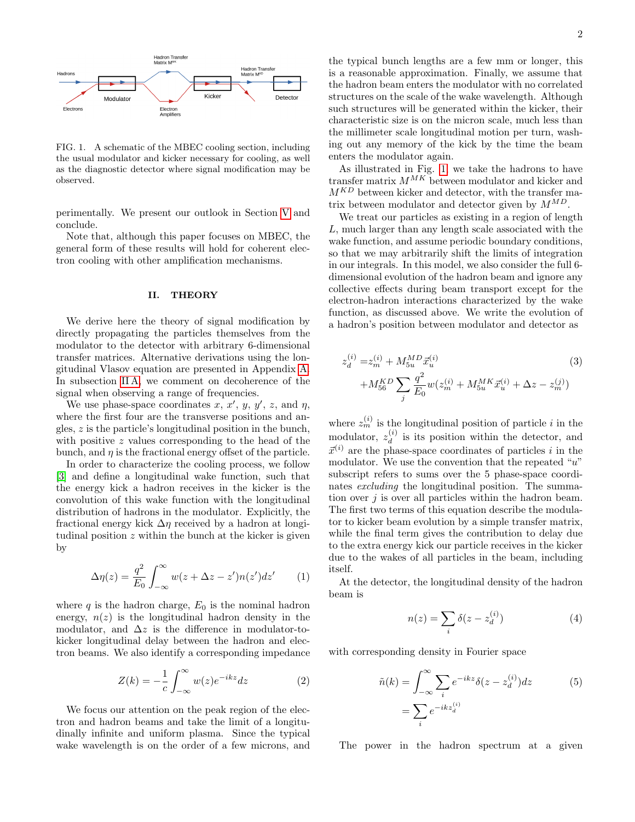

<span id="page-1-0"></span>FIG. 1. A schematic of the MBEC cooling section, including the usual modulator and kicker necessary for cooling, as well as the diagnostic detector where signal modification may be observed.

perimentally. We present our outlook in Section [V](#page-9-0) and conclude.

Note that, although this paper focuses on MBEC, the general form of these results will hold for coherent electron cooling with other amplification mechanisms.

#### <span id="page-1-1"></span>II. THEORY

We derive here the theory of signal modification by directly propagating the particles themselves from the modulator to the detector with arbitrary 6-dimensional transfer matrices. Alternative derivations using the longitudinal Vlasov equation are presented in Appendix [A.](#page-9-1) In subsection IIA, we comment on decoherence of the signal when observing a range of frequencies.

We use phase-space coordinates x, x', y, y', z, and  $\eta$ , where the first four are the transverse positions and angles, z is the particle's longitudinal position in the bunch, with positive z values corresponding to the head of the bunch, and  $\eta$  is the fractional energy offset of the particle.

In order to characterize the cooling process, we follow [\[3\]](#page-14-2) and define a longitudinal wake function, such that the energy kick a hadron receives in the kicker is the convolution of this wake function with the longitudinal distribution of hadrons in the modulator. Explicitly, the fractional energy kick  $\Delta \eta$  received by a hadron at longitudinal position  $z$  within the bunch at the kicker is given by

$$
\Delta \eta(z) = \frac{q^2}{E_0} \int_{-\infty}^{\infty} w(z + \Delta z - z') n(z') dz' \qquad (1)
$$

where  $q$  is the hadron charge,  $E_0$  is the nominal hadron energy,  $n(z)$  is the longitudinal hadron density in the modulator, and  $\Delta z$  is the difference in modulator-tokicker longitudinal delay between the hadron and electron beams. We also identify a corresponding impedance

$$
Z(k) = -\frac{1}{c} \int_{-\infty}^{\infty} w(z)e^{-ikz} dz
$$
 (2)

We focus our attention on the peak region of the electron and hadron beams and take the limit of a longitudinally infinite and uniform plasma. Since the typical wake wavelength is on the order of a few microns, and

the typical bunch lengths are a few mm or longer, this is a reasonable approximation. Finally, we assume that the hadron beam enters the modulator with no correlated structures on the scale of the wake wavelength. Although such structures will be generated within the kicker, their characteristic size is on the micron scale, much less than the millimeter scale longitudinal motion per turn, washing out any memory of the kick by the time the beam enters the modulator again.

As illustrated in Fig. [1,](#page-1-0) we take the hadrons to have transfer matrix  $M^{MK}$  between modulator and kicker and  $M^{KD}$  between kicker and detector, with the transfer matrix between modulator and detector given by  $M^{MD}$ .

We treat our particles as existing in a region of length L, much larger than any length scale associated with the wake function, and assume periodic boundary conditions, so that we may arbitrarily shift the limits of integration in our integrals. In this model, we also consider the full 6 dimensional evolution of the hadron beam and ignore any collective effects during beam transport except for the electron-hadron interactions characterized by the wake function, as discussed above. We write the evolution of a hadron's position between modulator and detector as

<span id="page-1-2"></span>
$$
z_d^{(i)} = z_m^{(i)} + M_{5u}^{MD} \vec{x}_u^{(i)}
$$
  
+
$$
M_{56}^{KD} \sum_j \frac{q^2}{E_0} w(z_m^{(i)} + M_{5u}^{MK} \vec{x}_u^{(i)} + \Delta z - z_m^{(j)})
$$
 (3)

where  $z_m^{(i)}$  is the longitudinal position of particle i in the modulator,  $z_d^{(i)}$  $\frac{d^{(i)}}{d}$  is its position within the detector, and  $\vec{x}^{(i)}$  are the phase-space coordinates of particles i in the modulator. We use the convention that the repeated " $u$ " subscript refers to sums over the 5 phase-space coordinates excluding the longitudinal position. The summation over  $j$  is over all particles within the hadron beam. The first two terms of this equation describe the modulator to kicker beam evolution by a simple transfer matrix, while the final term gives the contribution to delay due to the extra energy kick our particle receives in the kicker due to the wakes of all particles in the beam, including itself.

<span id="page-1-4"></span>At the detector, the longitudinal density of the hadron beam is

$$
n(z) = \sum_{i} \delta(z - z_d^{(i)})
$$
 (4)

<span id="page-1-3"></span>with corresponding density in Fourier space

$$
\tilde{n}(k) = \int_{-\infty}^{\infty} \sum_{i} e^{-ikz} \delta(z - z_d^{(i)}) dz
$$
\n
$$
= \sum_{i} e^{-ikz_d^{(i)}}
$$
\n(5)

The power in the hadron spectrum at a given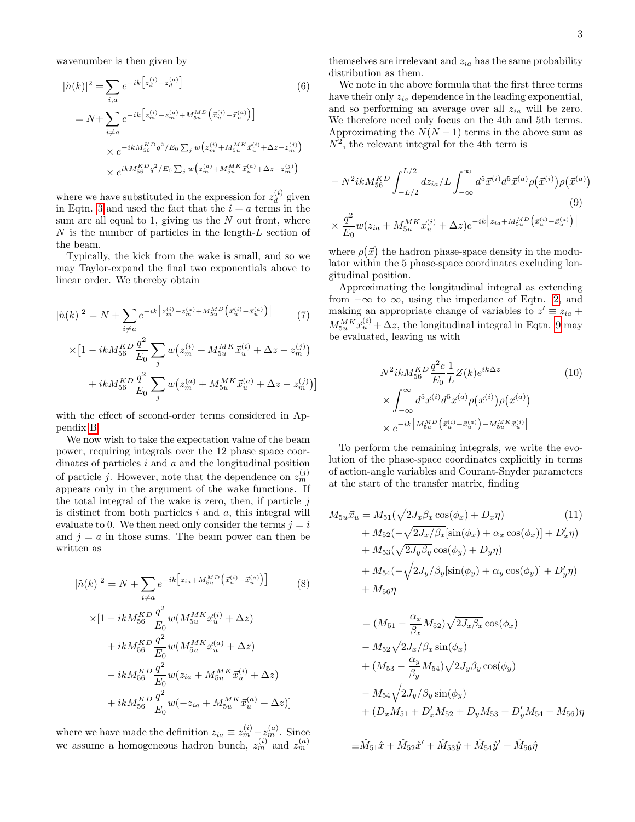wavenumber is then given by

$$
|\tilde{n}(k)|^2 = \sum_{i,a} e^{-ik \left[z_d^{(i)} - z_d^{(a)}\right]} \tag{6}
$$
  

$$
= N + \sum_{i \neq a} e^{-ik \left[z_m^{(i)} - z_m^{(a)} + M_{5u}^{MD}\left(\vec{x}_u^{(i)} - \vec{x}_u^{(a)}\right)\right]}
$$
  

$$
\times e^{-ikM_{56}^{KD}q^2/E_0 \sum_j w\left(z_m^{(i)} + M_{5u}^{MK}\vec{x}_u^{(i)} + \Delta z - z_m^{(j)}\right)}
$$
  

$$
\times e^{ikM_{56}^{KD}q^2/E_0 \sum_j w\left(z_m^{(a)} + M_{5u}^{MK}\vec{x}_u^{(a)} + \Delta z - z_m^{(j)}\right)}
$$

where we have substituted in the expression for  $z_d^{(i)}$  $d$  given in Eqtn. [3](#page-1-2) and used the fact that the  $i = a$  terms in the sum are all equal to 1, giving us the  $N$  out front, where  $N$  is the number of particles in the length- $L$  section of the beam.

Typically, the kick from the wake is small, and so we may Taylor-expand the final two exponentials above to linear order. We thereby obtain

$$
|\tilde{n}(k)|^2 = N + \sum_{i \neq a} e^{-ik \left[z_m^{(i)} - z_m^{(a)} + M_{5u}^{MD}\left(\vec{x}_u^{(i)} - \vec{x}_u^{(a)}\right)\right]}
$$
(7)  

$$
\times \left[1 - ik M_{56}^{KD} \frac{q^2}{E_0} \sum_j w\left(z_m^{(i)} + M_{5u}^{MK} \vec{x}_u^{(i)} + \Delta z - z_m^{(j)}\right)\right]
$$

$$
+ ik M_{56}^{KD} \frac{q^2}{E_0} \sum_j w\left(z_m^{(a)} + M_{5u}^{MK} \vec{x}_u^{(a)} + \Delta z - z_m^{(j)}\right)
$$

with the effect of second-order terms considered in Appendix [B.](#page-13-0)

We now wish to take the expectation value of the beam power, requiring integrals over the 12 phase space coordinates of particles  $i$  and  $a$  and the longitudinal position of particle *j*. However, note that the dependence on  $z_m^{(j)}$ appears only in the argument of the wake functions. If the total integral of the wake is zero, then, if particle  $j$ is distinct from both particles  $i$  and  $a$ , this integral will evaluate to 0. We then need only consider the terms  $j = i$ and  $j = a$  in those sums. The beam power can then be written as

$$
|\tilde{n}(k)|^2 = N + \sum_{i \neq a} e^{-ik \left[z_{ia} + M_{5u}^{MD} \left(\vec{x}_{u}^{(i)} - \vec{x}_{u}^{(a)}\right)\right]} \tag{8}
$$
  

$$
\times [1 - ik M_{56}^{KD} \frac{q^2}{E_0} w(M_{5u}^{MK} \vec{x}_{u}^{(i)} + \Delta z)
$$
  

$$
+ ik M_{56}^{KD} \frac{q^2}{E_0} w(M_{5u}^{MK} \vec{x}_{u}^{(a)} + \Delta z)
$$
  

$$
- ik M_{56}^{KD} \frac{q^2}{E_0} w(z_{ia} + M_{5u}^{MK} \vec{x}_{u}^{(i)} + \Delta z)
$$
  

$$
+ ik M_{56}^{KD} \frac{q^2}{E_0} w(-z_{ia} + M_{5u}^{MK} \vec{x}_{u}^{(a)} + \Delta z)]
$$

where we have made the definition  $z_{ia} \equiv z_m^{(i)} - z_m^{(a)}$ . Since we assume a homogeneous hadron bunch,  $z_m^{(i)}$  and  $z_m^{(a)}$ 

themselves are irrelevant and  $z_{ia}$  has the same probability distribution as them.

<span id="page-2-3"></span>We note in the above formula that the first three terms have their only  $z_{ia}$  dependence in the leading exponential, and so performing an average over all  $z_{ia}$  will be zero. We therefore need only focus on the 4th and 5th terms. Approximating the  $N(N-1)$  terms in the above sum as  $N^2$ , the relevant integral for the 4th term is

<span id="page-2-0"></span>
$$
- N^2 i k M_{56}^{KD} \int_{-L/2}^{L/2} dz_{ia} / L \int_{-\infty}^{\infty} d^5 \vec{x}^{(i)} d^5 \vec{x}^{(a)} \rho(\vec{x}^{(i)}) \rho(\vec{x}^{(a)})
$$
  

$$
\times \frac{q^2}{E_0} w(z_{ia} + M_{5u}^{MK} \vec{x}_u^{(i)} + \Delta z) e^{-ik \left[z_{ia} + M_{5u}^{MD} \left(\vec{x}_u^{(i)} - \vec{x}_u^{(a)}\right)\right]}
$$
  
(9)

where  $\rho(\vec{x})$  the hadron phase-space density in the modulator within the 5 phase-space coordinates excluding longitudinal position.

Approximating the longitudinal integral as extending from  $-\infty$  to  $\infty$ , using the impedance of Eqtn. [2,](#page-1-3) and making an appropriate change of variables to  $z' \equiv z_{ia} +$  $M_{5u}^{MK} \vec{x}_{u}^{(i)} + \Delta z$ , the longitudinal integral in Eqtn. [9](#page-2-0) may be evaluated, leaving us with

<span id="page-2-1"></span>
$$
N^{2}ikM_{56}^{KD}\frac{q^{2}c}{E_{0}}\frac{1}{L}Z(k)e^{ik\Delta z}
$$
\n
$$
\times \int_{-\infty}^{\infty} d^{5}\vec{x}^{(i)}d^{5}\vec{x}^{(a)}\rho(\vec{x}^{(i)})\rho(\vec{x}^{(a)})
$$
\n
$$
\times e^{-ik\left[M_{5u}^{MD}\left(\vec{x}_{u}^{(i)} - \vec{x}_{u}^{(a)}\right) - M_{5u}^{MK}\vec{x}_{u}^{(i)}\right]}
$$
\n(10)

To perform the remaining integrals, we write the evolution of the phase-space coordinates explicitly in terms of action-angle variables and Courant-Snyder parameters at the start of the transfer matrix, finding

<span id="page-2-2"></span>
$$
M_{5u}\vec{x}_u = M_{51}(\sqrt{2J_x\beta_x}\cos(\phi_x) + D_x\eta)
$$
\n
$$
+ M_{52}(-\sqrt{2J_x/\beta_x}[\sin(\phi_x) + \alpha_x\cos(\phi_x)] + D'_x\eta)
$$
\n
$$
+ M_{53}(\sqrt{2J_y\beta_y}\cos(\phi_y) + D_y\eta)
$$
\n
$$
+ M_{54}(-\sqrt{2J_y/\beta_y}[\sin(\phi_y) + \alpha_y\cos(\phi_y)] + D'_y\eta)
$$
\n
$$
+ M_{56}\eta
$$
\n(9)

$$
= (M_{51} - \frac{\alpha_x}{\beta_x} M_{52}) \sqrt{2J_x \beta_x} \cos(\phi_x)
$$
  
\n
$$
- M_{52} \sqrt{2J_x/\beta_x} \sin(\phi_x)
$$
  
\n
$$
+ (M_{53} - \frac{\alpha_y}{\beta_y} M_{54}) \sqrt{2J_y \beta_y} \cos(\phi_y)
$$
  
\n
$$
- M_{54} \sqrt{2J_y/\beta_y} \sin(\phi_y)
$$
  
\n
$$
+ (D_x M_{51} + D'_x M_{52} + D_y M_{53} + D'_y M_{54} + M_{56}) \eta
$$

$$
{\equiv}\hat{M}_{51}\hat{x}+\hat{M}_{52}\hat{x}'+\hat{M}_{53}\hat{y}+\hat{M}_{54}\hat{y}'+\hat{M}_{56}\hat{\eta}
$$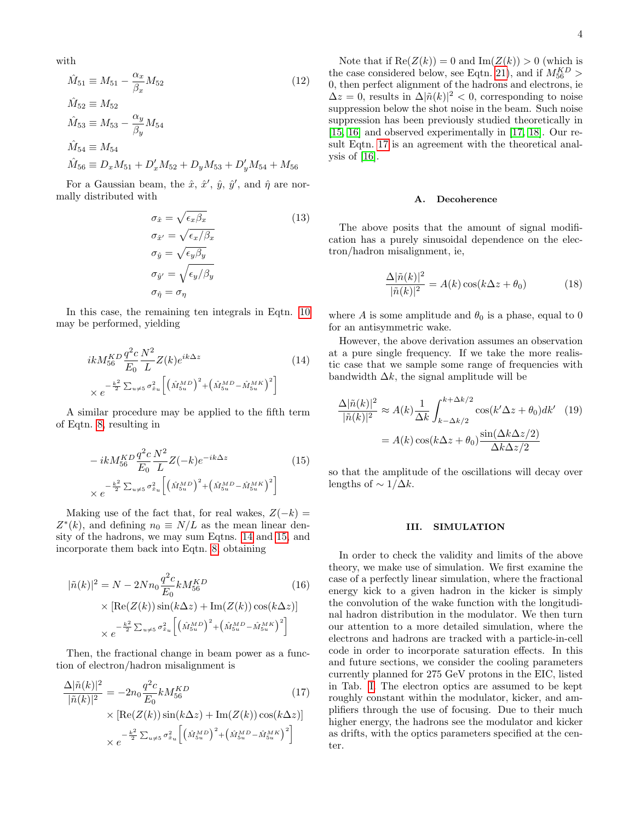with

$$
\hat{M}_{51} \equiv M_{51} - \frac{\alpha_x}{\beta_x} M_{52}
$$
\n
$$
\hat{M}_{52} \equiv M_{52}
$$
\n
$$
\hat{M}_{53} \equiv M_{53} - \frac{\alpha_y}{\beta_y} M_{54}
$$
\n
$$
\hat{M}_{54} \equiv M_{54}
$$
\n
$$
\hat{M}_{56} \equiv D_x M_{51} + D'_x M_{52} + D_y M_{53} + D'_y M_{54} + M_{56}
$$
\n(12)

For a Gaussian beam, the  $\hat{x}, \hat{x}', \hat{y}, \hat{y}'$ , and  $\hat{\eta}$  are normally distributed with

$$
\sigma_{\hat{x}} = \sqrt{\epsilon_x \beta_x}
$$
\n
$$
\sigma_{\hat{x}'} = \sqrt{\epsilon_x / \beta_x}
$$
\n
$$
\sigma_{\hat{y}} = \sqrt{\epsilon_y \beta_y}
$$
\n
$$
\sigma_{\hat{y}'} = \sqrt{\epsilon_y / \beta_y}
$$
\n
$$
\sigma_{\hat{\eta}} = \sigma_{\eta}
$$
\n(13)

In this case, the remaining ten integrals in Eqtn. [10](#page-2-1) may be performed, yielding

$$
ikM_{56}^{KD} \frac{q^2 c}{E_0} \frac{N^2}{L} Z(k) e^{ik\Delta z}
$$
\n
$$
\times e^{-\frac{k^2}{2} \sum_{u \neq 5} \sigma_{x_u}^2} \left[ \left( \hat{M}_{5u}^{MD} \right)^2 + \left( \hat{M}_{5u}^{MD} - \hat{M}_{5u}^{MK} \right)^2 \right]
$$
\n(14)

A similar procedure may be applied to the fifth term of Eqtn. [8,](#page-2-2) resulting in

$$
- ikM_{56}^{KD} \frac{q^2 c}{E_0} \frac{N^2}{L} Z(-k) e^{-ik\Delta z}
$$
\n
$$
\times e^{-\frac{k^2}{2} \sum_{u \neq 5} \sigma_{x_u}^2} \left[ \left( \hat{M}_{5u}^{MD} \right)^2 + \left( \hat{M}_{5u}^{MD} - \hat{M}_{5u}^{MN} \right)^2 \right]
$$
\n(15)

Making use of the fact that, for real wakes,  $Z(-k) =$  $Z^*(k)$ , and defining  $n_0 \equiv N/L$  as the mean linear density of the hadrons, we may sum Eqtns. [14](#page-3-2) and [15,](#page-3-3) and incorporate them back into Eqtn. [8,](#page-2-2) obtaining

$$
|\tilde{n}(k)|^2 = N - 2Nn_0 \frac{q^2 c}{E_0} k M_{56}^{KD}
$$
\n
$$
\times \left[ \text{Re}(Z(k)) \sin(k\Delta z) + \text{Im}(Z(k)) \cos(k\Delta z) \right]
$$
\n
$$
\times e^{-\frac{k^2}{2} \sum_{u \neq 5} \sigma_{x_u}^2} \left[ \left( \hat{M}_{5u}^{MD} \right)^2 + \left( \hat{M}_{5u}^{MD} - \hat{M}_{5u}^{MK} \right)^2 \right]
$$
\n(16)

Then, the fractional change in beam power as a function of electron/hadron misalignment is

$$
\frac{\Delta |\tilde{n}(k)|^2}{|\tilde{n}(k)|^2} = -2n_0 \frac{q^2 c}{E_0} k M_{56}^{KD} \tag{17}
$$
\n
$$
\times \left[ \text{Re}(Z(k)) \sin(k\Delta z) + \text{Im}(Z(k)) \cos(k\Delta z) \right]
$$
\n
$$
\times e^{-\frac{k^2}{2} \sum_{u \neq 5} \sigma_{x_u}^2} \left[ \left( \hat{M}_{5u}^{MD} \right)^2 + \left( \hat{M}_{5u}^{MD} - \hat{M}_{5u}^{MN} \right)^2 \right]
$$

<span id="page-3-5"></span>Note that if  $\text{Re}(Z(k)) = 0$  and  $\text{Im}(Z(k)) > 0$  (which is the case considered below, see Eqtn. [21\)](#page-6-0), and if  $M_{56}^{KD}$  > 0, then perfect alignment of the hadrons and electrons, ie  $\Delta z = 0$ , results in  $\Delta |\tilde{n}(k)|^2 < 0$ , corresponding to noise suppression below the shot noise in the beam. Such noise suppression has been previously studied theoretically in [\[15,](#page-14-10) [16\]](#page-14-11) and observed experimentally in [\[17,](#page-14-12) [18\]](#page-14-13). Our result Eqtn. [17](#page-3-4) is an agreement with the theoretical analysis of  $[16]$ .

#### <span id="page-3-1"></span>A. Decoherence

<span id="page-3-6"></span>The above posits that the amount of signal modification has a purely sinusoidal dependence on the electron/hadron misalignment, ie,

$$
\frac{\Delta |\tilde{n}(k)|^2}{|\tilde{n}(k)|^2} = A(k)\cos(k\Delta z + \theta_0)
$$
 (18)

where A is some amplitude and  $\theta_0$  is a phase, equal to 0 for an antisymmetric wake.

<span id="page-3-2"></span>However, the above derivation assumes an observation at a pure single frequency. If we take the more realistic case that we sample some range of frequencies with bandwidth  $\Delta k$ , the signal amplitude will be

$$
\frac{\Delta |\tilde{n}(k)|^2}{|\tilde{n}(k)|^2} \approx A(k) \frac{1}{\Delta k} \int_{k-\Delta k/2}^{k+\Delta k/2} \cos(k'\Delta z + \theta_0) dk' \quad (19)
$$

$$
= A(k) \cos(k\Delta z + \theta_0) \frac{\sin(\Delta k \Delta z/2)}{\Delta k \Delta z/2}
$$

<span id="page-3-3"></span>so that the amplitude of the oscillations will decay over lengths of  $\sim 1/\Delta k$ .

### <span id="page-3-0"></span>III. SIMULATION

<span id="page-3-4"></span>In order to check the validity and limits of the above theory, we make use of simulation. We first examine the case of a perfectly linear simulation, where the fractional energy kick to a given hadron in the kicker is simply the convolution of the wake function with the longitudinal hadron distribution in the modulator. We then turn our attention to a more detailed simulation, where the electrons and hadrons are tracked with a particle-in-cell code in order to incorporate saturation effects. In this and future sections, we consider the cooling parameters currently planned for 275 GeV protons in the EIC, listed in Tab. [I.](#page-4-0) The electron optics are assumed to be kept roughly constant within the modulator, kicker, and amplifiers through the use of focusing. Due to their much higher energy, the hadrons see the modulator and kicker as drifts, with the optics parameters specified at the center.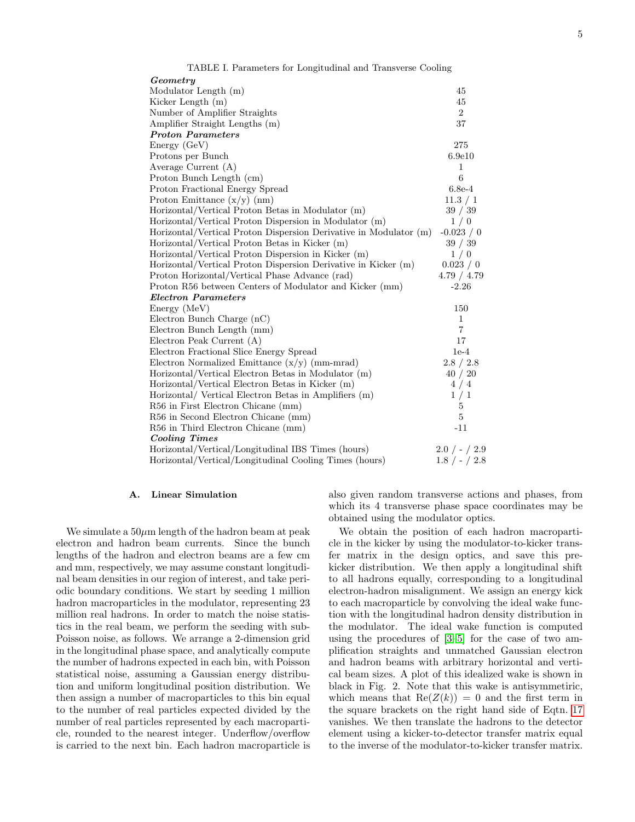<span id="page-4-0"></span>

| TABLE I. Parameters for Longitudinal and Transverse Cooling       |                 |
|-------------------------------------------------------------------|-----------------|
| Geometry                                                          |                 |
| Modulator Length (m)                                              | 45              |
| Kicker Length (m)                                                 | 45              |
| Number of Amplifier Straights                                     | $\overline{2}$  |
| Amplifier Straight Lengths (m)                                    | 37              |
| <b>Proton Parameters</b>                                          |                 |
| Energy(GeV)                                                       | 275             |
| Protons per Bunch                                                 | 6.9e10          |
| Average Current (A)                                               | 1               |
| Proton Bunch Length (cm)                                          | 6               |
| Proton Fractional Energy Spread                                   | $6.8e-4$        |
| Proton Emittance $(x/y)$ (nm)                                     | 11.3 / 1        |
| Horizontal/Vertical Proton Betas in Modulator (m)                 | 39 / 39         |
| Horizontal/Vertical Proton Dispersion in Modulator (m)            | 1/0             |
| Horizontal/Vertical Proton Dispersion Derivative in Modulator (m) | $-0.023 / 0$    |
| Horizontal/Vertical Proton Betas in Kicker (m)                    | 39 / 39         |
| Horizontal/Vertical Proton Dispersion in Kicker (m)               | 1/0             |
| Horizontal/Vertical Proton Dispersion Derivative in Kicker (m)    | 0.023 / 0       |
| Proton Horizontal/Vertical Phase Advance (rad)                    | 4.79 / 4.79     |
| Proton R56 between Centers of Modulator and Kicker (mm)           | $-2.26$         |
| <b>Electron Parameters</b>                                        |                 |
| Energy (MeV)                                                      | 150             |
| Electron Bunch Charge (nC)                                        | $\mathbf{1}$    |
| Electron Bunch Length (mm)                                        | $\overline{7}$  |
| Electron Peak Current (A)                                         | 17              |
| Electron Fractional Slice Energy Spread                           | $1e-4$          |
| Electron Normalized Emittance $(x/y)$ (mm-mrad)                   | 2.8 / 2.8       |
| Horizontal/Vertical Electron Betas in Modulator (m)               | 40/20           |
| Horizontal/Vertical Electron Betas in Kicker (m)                  | 4/4             |
| Horizontal/ Vertical Electron Betas in Amplifiers (m)             | 1/1             |
| R56 in First Electron Chicane (mm)                                | 5               |
| R56 in Second Electron Chicane (mm)                               | 5               |
| R56 in Third Electron Chicane (mm)                                | $-11$           |
| <b>Cooling Times</b>                                              |                 |
| Horizontal/Vertical/Longitudinal IBS Times (hours)                | $2.0 / - / 2.9$ |
| Horizontal/Vertical/Longitudinal Cooling Times (hours)            | $1.8 / - / 2.8$ |

#### <span id="page-4-1"></span>A. Linear Simulation

We simulate a  $50\mu$ m length of the hadron beam at peak electron and hadron beam currents. Since the bunch lengths of the hadron and electron beams are a few cm and mm, respectively, we may assume constant longitudinal beam densities in our region of interest, and take periodic boundary conditions. We start by seeding 1 million hadron macroparticles in the modulator, representing 23 million real hadrons. In order to match the noise statistics in the real beam, we perform the seeding with sub-Poisson noise, as follows. We arrange a 2-dimension grid in the longitudinal phase space, and analytically compute the number of hadrons expected in each bin, with Poisson statistical noise, assuming a Gaussian energy distribution and uniform longitudinal position distribution. We then assign a number of macroparticles to this bin equal to the number of real particles expected divided by the number of real particles represented by each macroparticle, rounded to the nearest integer. Underflow/overflow is carried to the next bin. Each hadron macroparticle is also given random transverse actions and phases, from which its 4 transverse phase space coordinates may be obtained using the modulator optics.

We obtain the position of each hadron macroparticle in the kicker by using the modulator-to-kicker transfer matrix in the design optics, and save this prekicker distribution. We then apply a longitudinal shift to all hadrons equally, corresponding to a longitudinal electron-hadron misalignment. We assign an energy kick to each macroparticle by convolving the ideal wake function with the longitudinal hadron density distribution in the modulator. The ideal wake function is computed using the procedures of [\[3–](#page-14-2)[5\]](#page-14-14) for the case of two amplification straights and unmatched Gaussian electron and hadron beams with arbitrary horizontal and vertical beam sizes. A plot of this idealized wake is shown in black in Fig. 2. Note that this wake is antisymmetiric, which means that  $\text{Re}(Z(k)) = 0$  and the first term in the square brackets on the right hand side of Eqtn. [17](#page-3-4) vanishes. We then translate the hadrons to the detector element using a kicker-to-detector transfer matrix equal to the inverse of the modulator-to-kicker transfer matrix.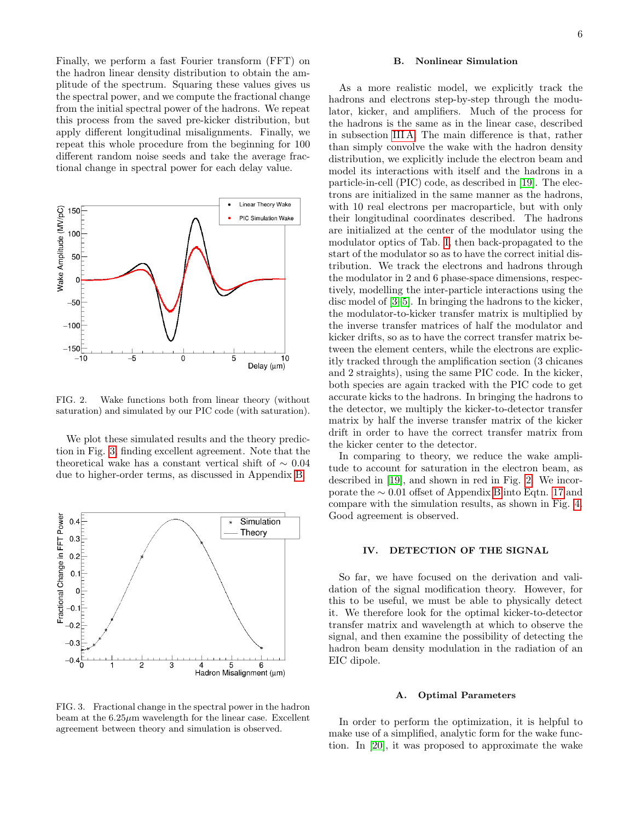Finally, we perform a fast Fourier transform (FFT) on the hadron linear density distribution to obtain the amplitude of the spectrum. Squaring these values gives us the spectral power, and we compute the fractional change from the initial spectral power of the hadrons. We repeat this process from the saved pre-kicker distribution, but apply different longitudinal misalignments. Finally, we repeat this whole procedure from the beginning for 100 different random noise seeds and take the average fractional change in spectral power for each delay value.



<span id="page-5-2"></span>FIG. 2. Wake functions both from linear theory (without saturation) and simulated by our PIC code (with saturation).

We plot these simulated results and the theory prediction in Fig. [3,](#page-5-1) finding excellent agreement. Note that the theoretical wake has a constant vertical shift of ∼ 0.04 due to higher-order terms, as discussed in Appendix [B.](#page-13-0)



<span id="page-5-1"></span>FIG. 3. Fractional change in the spectral power in the hadron beam at the  $6.25\mu m$  wavelength for the linear case. Excellent agreement between theory and simulation is observed.

# B. Nonlinear Simulation

As a more realistic model, we explicitly track the hadrons and electrons step-by-step through the modulator, kicker, and amplifiers. Much of the process for the hadrons is the same as in the linear case, described in subsection [III A.](#page-4-1) The main difference is that, rather than simply convolve the wake with the hadron density distribution, we explicitly include the electron beam and model its interactions with itself and the hadrons in a particle-in-cell (PIC) code, as described in [\[19\]](#page-14-15). The electrons are initialized in the same manner as the hadrons, with 10 real electrons per macroparticle, but with only their longitudinal coordinates described. The hadrons are initialized at the center of the modulator using the modulator optics of Tab. [I,](#page-4-0) then back-propagated to the start of the modulator so as to have the correct initial distribution. We track the electrons and hadrons through the modulator in 2 and 6 phase-space dimensions, respectively, modelling the inter-particle interactions using the disc model of [\[3](#page-14-2)[–5\]](#page-14-14). In bringing the hadrons to the kicker, the modulator-to-kicker transfer matrix is multiplied by the inverse transfer matrices of half the modulator and kicker drifts, so as to have the correct transfer matrix between the element centers, while the electrons are explicitly tracked through the amplification section (3 chicanes and 2 straights), using the same PIC code. In the kicker, both species are again tracked with the PIC code to get accurate kicks to the hadrons. In bringing the hadrons to the detector, we multiply the kicker-to-detector transfer matrix by half the inverse transfer matrix of the kicker drift in order to have the correct transfer matrix from the kicker center to the detector.

In comparing to theory, we reduce the wake amplitude to account for saturation in the electron beam, as described in [\[19\]](#page-14-15), and shown in red in Fig. [2.](#page-5-2) We incorporate the ∼ 0.01 offset of Appendix [B](#page-13-0) into Eqtn. [17](#page-3-4) and compare with the simulation results, as shown in Fig. [4.](#page-6-1) Good agreement is observed.

# <span id="page-5-0"></span>IV. DETECTION OF THE SIGNAL

So far, we have focused on the derivation and validation of the signal modification theory. However, for this to be useful, we must be able to physically detect it. We therefore look for the optimal kicker-to-detector transfer matrix and wavelength at which to observe the signal, and then examine the possibility of detecting the hadron beam density modulation in the radiation of an EIC dipole.

#### A. Optimal Parameters

In order to perform the optimization, it is helpful to make use of a simplified, analytic form for the wake function. In [\[20\]](#page-14-16), it was proposed to approximate the wake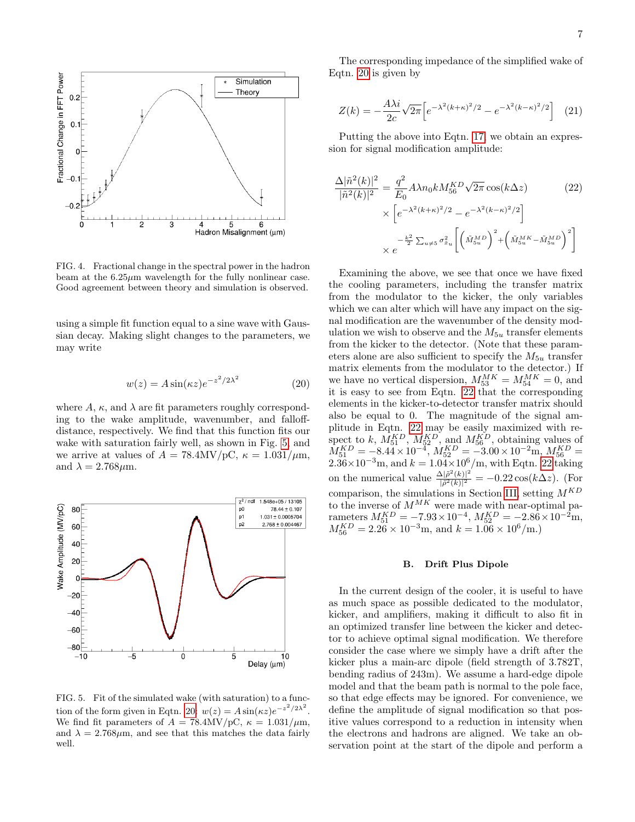

<span id="page-6-1"></span>FIG. 4. Fractional change in the spectral power in the hadron beam at the  $6.25\mu m$  wavelength for the fully nonlinear case. Good agreement between theory and simulation is observed.

using a simple fit function equal to a sine wave with Gaussian decay. Making slight changes to the parameters, we may write

$$
w(z) = A\sin(\kappa z)e^{-z^2/2\lambda^2}
$$
 (20)

where  $A$ ,  $\kappa$ , and  $\lambda$  are fit parameters roughly corresponding to the wake amplitude, wavenumber, and falloffdistance, respectively. We find that this function fits our wake with saturation fairly well, as shown in Fig. [5,](#page-6-2) and we arrive at values of  $A = 78.4 \text{MV/pC}, \ \kappa = 1.031/\mu \text{m},$ and  $\lambda = 2.768 \mu \text{m}$ .



<span id="page-6-2"></span>FIG. 5. Fit of the simulated wake (with saturation) to a func-tion of the form given in Eqtn. [20:](#page-6-3)  $w(z) = A \sin(\kappa z) e^{-z^2/2\lambda^2}$ . We find fit parameters of  $A = 78.4 \text{MV/pC}, \ \kappa = 1.031/\mu\text{m},$ and  $\lambda = 2.768 \mu \text{m}$ , and see that this matches the data fairly well.

The corresponding impedance of the simplified wake of Eqtn. [20](#page-6-3) is given by

<span id="page-6-0"></span>
$$
Z(k) = -\frac{A\lambda i}{2c} \sqrt{2\pi} \Big[ e^{-\lambda^2 (k+\kappa)^2/2} - e^{-\lambda^2 (k-\kappa)^2/2} \Big] \quad (21)
$$

Putting the above into Eqtn. [17,](#page-3-4) we obtain an expression for signal modification amplitude:

<span id="page-6-4"></span>
$$
\frac{\Delta |\tilde{n}^{2}(k)|^{2}}{|\tilde{n}^{2}(k)|^{2}} = \frac{q^{2}}{E_{0}} A \lambda n_{0} k M_{56}^{KD} \sqrt{2\pi} \cos(k\Delta z)
$$
(22)  

$$
\times \left[ e^{-\lambda^{2}(k+\kappa)^{2}/2} - e^{-\lambda^{2}(k-\kappa)^{2}/2} \right]
$$

$$
\times e^{-\frac{k^{2}}{2} \sum_{u \neq 5} \sigma_{\tilde{x}_{u}}^{2} \left[ \left( \tilde{M}_{5u}^{MD} \right)^{2} + \left( \tilde{M}_{5u}^{MK} - \tilde{M}_{5u}^{MD} \right)^{2} \right]}
$$

<span id="page-6-3"></span>Examining the above, we see that once we have fixed the cooling parameters, including the transfer matrix from the modulator to the kicker, the only variables which we can alter which will have any impact on the signal modification are the wavenumber of the density modulation we wish to observe and the  $M_{5u}$  transfer elements from the kicker to the detector. (Note that these parameters alone are also sufficient to specify the  $M_{5u}$  transfer matrix elements from the modulator to the detector.) If we have no vertical dispersion,  $M_{53}^{MK} = M_{54}^{MK} = 0$ , and it is easy to see from Eqtn. [22](#page-6-4) that the corresponding elements in the kicker-to-detector transfer matrix should also be equal to 0. The magnitude of the signal amplitude in Eqtn. [22](#page-6-4) may be easily maximized with respect to k,  $M_{51}^{KD}$ ,  $M_{52}^{KD}$ , and  $M_{56}^{KD}$ , obtaining values of  $M_{51}^{KD} = -8.44 \times 10^{-4}$ ,  $M_{52}^{KD} = -3.00 \times 10^{-2}$ m,  $M_{56}^{KD} =$  $2.36 \times 10^{-3}$ m, and  $k = 1.04 \times 10^{6}$ /m, with Eqtn. [22](#page-6-4) taking on the numerical value  $\frac{\Delta|\tilde{\rho}^{2}(k)|^{2}}{|\tilde{\sigma}^{2}(k)|^{2}}$  $\frac{\Delta[\rho^2(k)]^2}{|\tilde{\rho}^2(k)|^2} = -0.22 \cos(k\Delta z)$ . (For comparison, the simulations in Section [III,](#page-3-0) setting  $M^{KD}$ to the inverse of  $M^{MK}$  were made with near-optimal parameters  $M_{51}^{KD} = -7.93 \times 10^{-4}$ ,  $M_{52}^{KD} = -2.86 \times 10^{-2}$ m,  $M_{56}^{KD} = 2.26 \times 10^{-3}$ m, and  $k = 1.06 \times 10^6$ /m.)

### <span id="page-6-5"></span>B. Drift Plus Dipole

In the current design of the cooler, it is useful to have as much space as possible dedicated to the modulator, kicker, and amplifiers, making it difficult to also fit in an optimized transfer line between the kicker and detector to achieve optimal signal modification. We therefore consider the case where we simply have a drift after the kicker plus a main-arc dipole (field strength of 3.782T, bending radius of 243m). We assume a hard-edge dipole model and that the beam path is normal to the pole face, so that edge effects may be ignored. For convenience, we define the amplitude of signal modification so that positive values correspond to a reduction in intensity when the electrons and hadrons are aligned. We take an observation point at the start of the dipole and perform a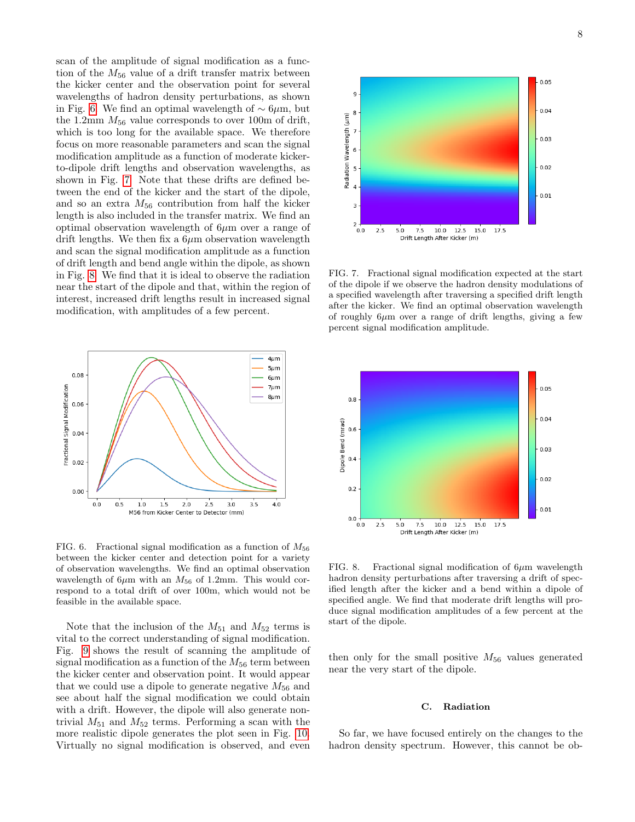scan of the amplitude of signal modification as a function of the  $M_{56}$  value of a drift transfer matrix between the kicker center and the observation point for several wavelengths of hadron density perturbations, as shown in Fig. [6.](#page-7-0) We find an optimal wavelength of ∼ 6µm, but the 1.2mm  $M_{56}$  value corresponds to over 100m of drift, which is too long for the available space. We therefore focus on more reasonable parameters and scan the signal modification amplitude as a function of moderate kickerto-dipole drift lengths and observation wavelengths, as shown in Fig. [7.](#page-7-1) Note that these drifts are defined between the end of the kicker and the start of the dipole, and so an extra  $M_{56}$  contribution from half the kicker length is also included in the transfer matrix. We find an optimal observation wavelength of  $6\mu$ m over a range of drift lengths. We then fix a  $6\mu$ m observation wavelength and scan the signal modification amplitude as a function of drift length and bend angle within the dipole, as shown in Fig. [8.](#page-7-2) We find that it is ideal to observe the radiation near the start of the dipole and that, within the region of interest, increased drift lengths result in increased signal modification, with amplitudes of a few percent.



<span id="page-7-0"></span>FIG. 6. Fractional signal modification as a function of  $M_{56}$ between the kicker center and detection point for a variety of observation wavelengths. We find an optimal observation wavelength of 6 $\mu$ m with an  $M_{56}$  of 1.2mm. This would correspond to a total drift of over 100m, which would not be feasible in the available space.

Note that the inclusion of the  $M_{51}$  and  $M_{52}$  terms is vital to the correct understanding of signal modification. Fig. [9](#page-8-0) shows the result of scanning the amplitude of signal modification as a function of the  $M_{56}$  term between the kicker center and observation point. It would appear that we could use a dipole to generate negative  $M_{56}$  and see about half the signal modification we could obtain with a drift. However, the dipole will also generate nontrivial  $M_{51}$  and  $M_{52}$  terms. Performing a scan with the more realistic dipole generates the plot seen in Fig. [10.](#page-8-1) Virtually no signal modification is observed, and even



<span id="page-7-1"></span>FIG. 7. Fractional signal modification expected at the start of the dipole if we observe the hadron density modulations of a specified wavelength after traversing a specified drift length after the kicker. We find an optimal observation wavelength of roughly  $6\mu$ m over a range of drift lengths, giving a few percent signal modification amplitude.



<span id="page-7-2"></span>FIG. 8. Fractional signal modification of  $6\mu$ m wavelength hadron density perturbations after traversing a drift of specified length after the kicker and a bend within a dipole of specified angle. We find that moderate drift lengths will produce signal modification amplitudes of a few percent at the start of the dipole.

then only for the small positive  $M_{56}$  values generated near the very start of the dipole.

#### C. Radiation

So far, we have focused entirely on the changes to the hadron density spectrum. However, this cannot be ob-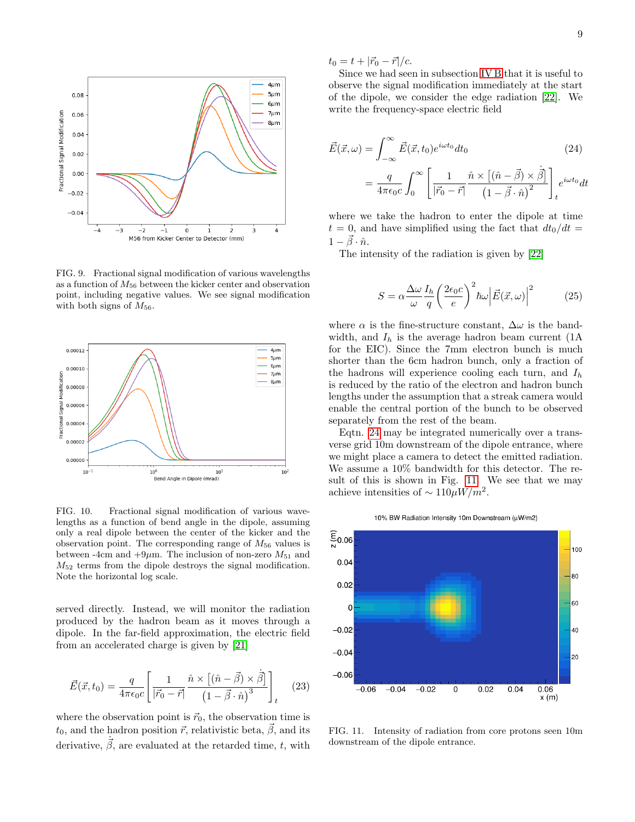

<span id="page-8-0"></span>FIG. 9. Fractional signal modification of various wavelengths as a function of  $M_{56}$  between the kicker center and observation point, including negative values. We see signal modification with both signs of  $M_{56}$ .



<span id="page-8-1"></span>FIG. 10. Fractional signal modification of various wavelengths as a function of bend angle in the dipole, assuming only a real dipole between the center of the kicker and the observation point. The corresponding range of  $M_{56}$  values is between -4cm and  $+9\mu$ m. The inclusion of non-zero  $M_{51}$  and  $M_{52}$  terms from the dipole destroys the signal modification. Note the horizontal log scale.

served directly. Instead, we will monitor the radiation produced by the hadron beam as it moves through a dipole. In the far-field approximation, the electric field from an accelerated charge is given by [\[21\]](#page-14-17)

$$
\vec{E}(\vec{x},t_0) = \frac{q}{4\pi\epsilon_0 c} \left[ \frac{1}{|\vec{r}_0 - \vec{r}|} \frac{\hat{n} \times [(\hat{n} - \vec{\beta}) \times \dot{\vec{\beta}}]}{(1 - \vec{\beta} \cdot \hat{n})^3} \right]_t \quad (23)
$$

where the observation point is  $\vec{r}_0$ , the observation time is  $t_0$ , and the hadron position  $\vec{r}$ , relativistic beta,  $\vec{\beta}$ , and its derivative,  $\dot{\vec{\beta}}$ , are evaluated at the retarded time, t, with  $t_0 = t + |\vec{r}_0 - \vec{r}|/c.$ 

Since we had seen in subsection [IV B](#page-6-5) that it is useful to observe the signal modification immediately at the start of the dipole, we consider the edge radiation [\[22\]](#page-14-18). We write the frequency-space electric field

<span id="page-8-2"></span>
$$
\vec{E}(\vec{x}, \omega) = \int_{-\infty}^{\infty} \vec{E}(\vec{x}, t_0) e^{i\omega t_0} dt_0
$$
\n
$$
= \frac{q}{4\pi\epsilon_0 c} \int_0^{\infty} \left[ \frac{1}{|\vec{r}_0 - \vec{r}|} \frac{\hat{n} \times [(\hat{n} - \vec{\beta}) \times \dot{\vec{\beta}}]}{(1 - \vec{\beta} \cdot \hat{n})^2} \right]_t e^{i\omega t_0} dt
$$
\n(24)

where we take the hadron to enter the dipole at time  $t = 0$ , and have simplified using the fact that  $dt_0/dt =$  $1 - \vec{\beta} \cdot \hat{n}$ .

The intensity of the radiation is given by [\[22\]](#page-14-18)

$$
S = \alpha \frac{\Delta \omega}{\omega} \frac{I_h}{q} \left(\frac{2\epsilon_0 c}{e}\right)^2 \hbar \omega \left|\vec{E}(\vec{x}, \omega)\right|^2 \tag{25}
$$

where  $\alpha$  is the fine-structure constant,  $\Delta\omega$  is the bandwidth, and  $I_h$  is the average hadron beam current (1A) for the EIC). Since the 7mm electron bunch is much shorter than the 6cm hadron bunch, only a fraction of the hadrons will experience cooling each turn, and  $I<sub>h</sub>$ is reduced by the ratio of the electron and hadron bunch lengths under the assumption that a streak camera would enable the central portion of the bunch to be observed separately from the rest of the beam.

Eqtn. [24](#page-8-2) may be integrated numerically over a transverse grid 10m downstream of the dipole entrance, where we might place a camera to detect the emitted radiation. We assume a 10% bandwidth for this detector. The result of this is shown in Fig. [11.](#page-8-3) We see that we may achieve intensities of  $\sim 110 \mu W/m^2$ .



<span id="page-8-3"></span>FIG. 11. Intensity of radiation from core protons seen 10m downstream of the dipole entrance.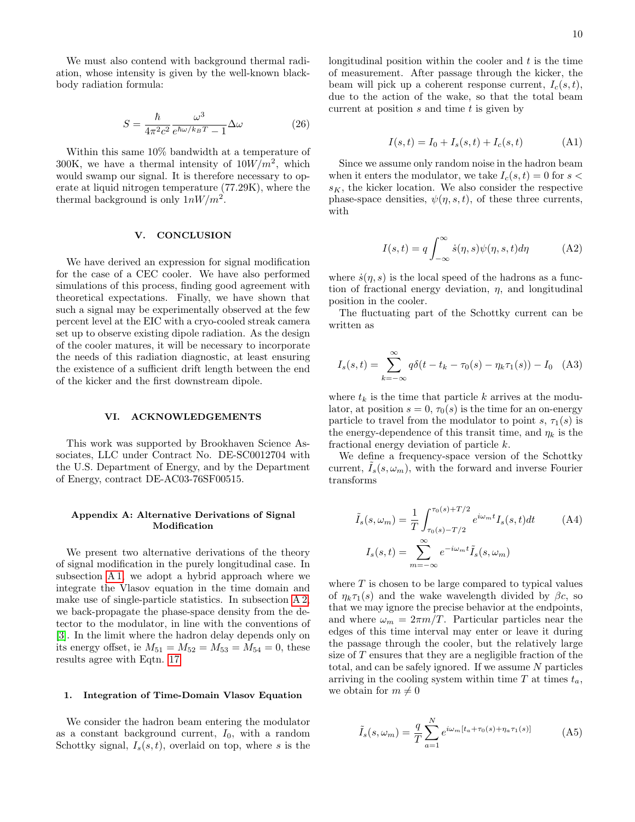We must also contend with background thermal radiation, whose intensity is given by the well-known blackbody radiation formula:

$$
S = \frac{\hbar}{4\pi^2 c^2} \frac{\omega^3}{e^{\hbar\omega/k_B T} - 1} \Delta\omega
$$
 (26)

Within this same 10% bandwidth at a temperature of 300K, we have a thermal intensity of  $10W/m^2$ , which would swamp our signal. It is therefore necessary to operate at liquid nitrogen temperature (77.29K), where the thermal background is only  $1nW/m^2$ .

# <span id="page-9-0"></span>V. CONCLUSION

We have derived an expression for signal modification for the case of a CEC cooler. We have also performed simulations of this process, finding good agreement with theoretical expectations. Finally, we have shown that such a signal may be experimentally observed at the few percent level at the EIC with a cryo-cooled streak camera set up to observe existing dipole radiation. As the design of the cooler matures, it will be necessary to incorporate the needs of this radiation diagnostic, at least ensuring the existence of a sufficient drift length between the end of the kicker and the first downstream dipole.

# VI. ACKNOWLEDGEMENTS

This work was supported by Brookhaven Science Associates, LLC under Contract No. DE-SC0012704 with the U.S. Department of Energy, and by the Department of Energy, contract DE-AC03-76SF00515.

# <span id="page-9-1"></span>Appendix A: Alternative Derivations of Signal Modification

We present two alternative derivations of the theory of signal modification in the purely longitudinal case. In subsection [A 1,](#page-9-2) we adopt a hybrid approach where we integrate the Vlasov equation in the time domain and make use of single-particle statistics. In subsection [A 2,](#page-11-0) we back-propagate the phase-space density from the detector to the modulator, in line with the conventions of [\[3\]](#page-14-2). In the limit where the hadron delay depends only on its energy offset, ie  $M_{51} = M_{52} = M_{53} = M_{54} = 0$ , these results agree with Eqtn. [17.](#page-3-4)

#### <span id="page-9-2"></span>1. Integration of Time-Domain Vlasov Equation

We consider the hadron beam entering the modulator as a constant background current,  $I_0$ , with a random Schottky signal,  $I_s(s,t)$ , overlaid on top, where s is the longitudinal position within the cooler and  $t$  is the time of measurement. After passage through the kicker, the beam will pick up a coherent response current,  $I_c(s,t)$ , due to the action of the wake, so that the total beam current at position  $s$  and time  $t$  is given by

$$
I(s,t) = I_0 + I_s(s,t) + I_c(s,t)
$$
 (A1)

Since we assume only random noise in the hadron beam when it enters the modulator, we take  $I_c(s, t) = 0$  for  $s <$  $s_K$ , the kicker location. We also consider the respective phase-space densities,  $\psi(\eta, s, t)$ , of these three currents, with

$$
I(s,t) = q \int_{-\infty}^{\infty} \dot{s}(\eta, s) \psi(\eta, s, t) d\eta
$$
 (A2)

where  $\dot{s}(\eta, s)$  is the local speed of the hadrons as a function of fractional energy deviation,  $\eta$ , and longitudinal position in the cooler.

The fluctuating part of the Schottky current can be written as

$$
I_s(s,t) = \sum_{k=-\infty}^{\infty} q\delta(t - t_k - \tau_0(s) - \eta_k \tau_1(s)) - I_0 \quad (A3)
$$

where  $t_k$  is the time that particle k arrives at the modulator, at position  $s = 0, \tau_0(s)$  is the time for an on-energy particle to travel from the modulator to point s,  $\tau_1(s)$  is the energy-dependence of this transit time, and  $\eta_k$  is the fractional energy deviation of particle k.

We define a frequency-space version of the Schottky current,  $I_s(s, \omega_m)$ , with the forward and inverse Fourier transforms

<span id="page-9-3"></span>
$$
\tilde{I}_s(s,\omega_m) = \frac{1}{T} \int_{\tau_0(s)-T/2}^{\tau_0(s)+T/2} e^{i\omega_m t} I_s(s,t) dt \tag{A4}
$$
\n
$$
I_s(s,t) = \sum_{m=-\infty}^{\infty} e^{-i\omega_m t} \tilde{I}_s(s,\omega_m)
$$

where  $T$  is chosen to be large compared to typical values of  $\eta_k \tau_1(s)$  and the wake wavelength divided by  $\beta c$ , so that we may ignore the precise behavior at the endpoints, and where  $\omega_m = 2\pi m/T$ . Particular particles near the edges of this time interval may enter or leave it during the passage through the cooler, but the relatively large size of  $T$  ensures that they are a negligible fraction of the total, and can be safely ignored. If we assume  $N$  particles arriving in the cooling system within time  $T$  at times  $t_a$ , we obtain for  $m \neq 0$ 

<span id="page-9-4"></span>
$$
\tilde{I}_s(s,\omega_m) = \frac{q}{T} \sum_{a=1}^N e^{i\omega_m \left[t_a + \tau_0(s) + \eta_a \tau_1(s)\right]} \tag{A5}
$$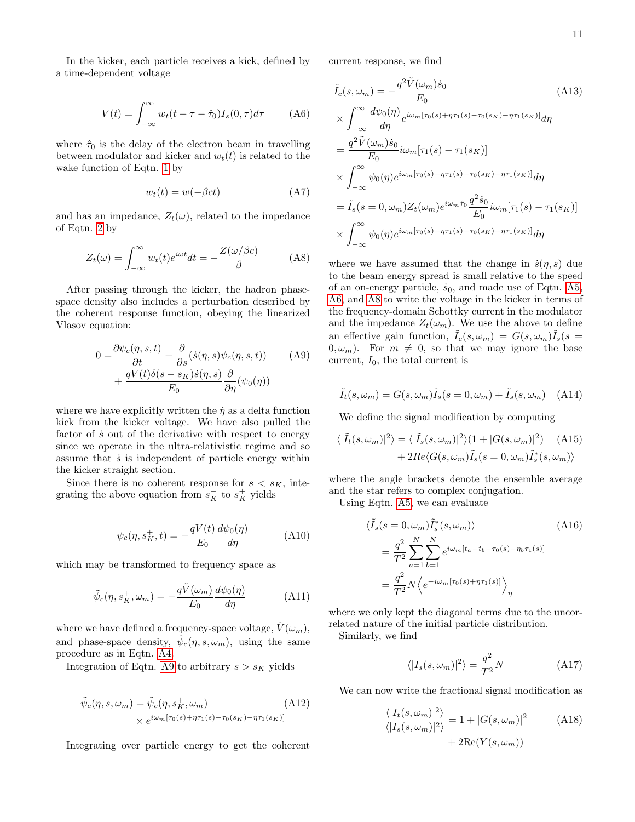In the kicker, each particle receives a kick, defined by a time-dependent voltage

$$
V(t) = \int_{-\infty}^{\infty} w_t(t - \tau - \hat{\tau}_0) I_s(0, \tau) d\tau
$$
 (A6)

where  $\hat{\tau}_0$  is the delay of the electron beam in travelling between modulator and kicker and  $w_t(t)$  is related to the wake function of Eqtn. [1](#page-1-4) by

$$
w_t(t) = w(-\beta ct) \tag{A7}
$$

and has an impedance,  $Z_t(\omega)$ , related to the impedance of Eqtn. [2](#page-1-3) by

$$
Z_t(\omega) = \int_{-\infty}^{\infty} w_t(t)e^{i\omega t}dt = -\frac{Z(\omega/\beta c)}{\beta}
$$
 (A8)

After passing through the kicker, the hadron phasespace density also includes a perturbation described by the coherent response function, obeying the linearized Vlasov equation:

$$
0 = \frac{\partial \psi_c(\eta, s, t)}{\partial t} + \frac{\partial}{\partial s} (\dot{s}(\eta, s) \psi_c(\eta, s, t)) + \frac{qV(t)\delta(s - s_K)\dot{s}(\eta, s)}{E_0} \frac{\partial}{\partial \eta} (\psi_0(\eta))
$$
 (A9)

where we have explicitly written the  $\dot{\eta}$  as a delta function kick from the kicker voltage. We have also pulled the factor of  $\dot{s}$  out of the derivative with respect to energy since we operate in the ultra-relativistic regime and so assume that  $\dot{s}$  is independent of particle energy within the kicker straight section.

Since there is no coherent response for  $s < s_K$ , integrating the above equation from  $s_K^-$  to  $s_K^+$  yields

$$
\psi_c(\eta, s_K^+, t) = -\frac{qV(t)}{E_0} \frac{d\psi_0(\eta)}{d\eta}
$$
 (A10)

which may be transformed to frequency space as

$$
\tilde{\psi}_c(\eta, s_K^+, \omega_m) = -\frac{q\tilde{V}(\omega_m)}{E_0} \frac{d\psi_0(\eta)}{d\eta}
$$
\n(A11)

where we have defined a frequency-space voltage,  $V(\omega_m)$ , and phase-space density,  $\tilde{\psi}_c(\eta, s, \omega_m)$ , using the same procedure as in Eqtn. [A4.](#page-9-3)

Integration of Eqtn. [A9](#page-10-0) to arbitrary  $s > s_K$  yields

$$
\tilde{\psi}_c(\eta, s, \omega_m) = \tilde{\psi}_c(\eta, s_K^+, \omega_m)
$$
\n
$$
\times e^{i\omega_m[\tau_0(s) + \eta\tau_1(s) - \tau_0(s_K) - \eta\tau_1(s_K)]}
$$
\n(A12)

Integrating over particle energy to get the coherent

current response, we find

<span id="page-10-1"></span>
$$
\tilde{I}_c(s,\omega_m) = -\frac{q^2 \tilde{V}(\omega_m) \dot{s}_0}{E_0}
$$
\n(A13)  
\n
$$
\times \int_{-\infty}^{\infty} \frac{d\psi_0(\eta)}{d\eta} e^{i\omega_m[\tau_0(s) + \eta \tau_1(s) - \tau_0(s_K) - \eta \tau_1(s_K)]} d\eta
$$
\n
$$
= \frac{q^2 \tilde{V}(\omega_m) \dot{s}_0}{E_0} i\omega_m[\tau_1(s) - \tau_1(s_K)]
$$
\n
$$
\times \int_{-\infty}^{\infty} \psi_0(\eta) e^{i\omega_m[\tau_0(s) + \eta \tau_1(s) - \tau_0(s_K) - \eta \tau_1(s_K)]} d\eta
$$
\n
$$
= \tilde{I}_s(s = 0, \omega_m) Z_t(\omega_m) e^{i\omega_m \hat{\tau}_0} \frac{q^2 \dot{s}_0}{E_0} i\omega_m[\tau_1(s) - \tau_1(s_K)]
$$
\n
$$
\times \int_{-\infty}^{\infty} \psi_0(\eta) e^{i\omega_m[\tau_0(s) + \eta \tau_1(s) - \tau_0(s_K) - \eta \tau_1(s_K)]} d\eta
$$
\n(A13)

<span id="page-10-2"></span>where we have assumed that the change in  $\dot{s}(\eta, s)$  due to the beam energy spread is small relative to the speed of an on-energy particle,  $\dot{s}_0$ , and made use of Eqtn. [A5,](#page-9-4) [A6,](#page-10-1) and [A8](#page-10-2) to write the voltage in the kicker in terms of the frequency-domain Schottky current in the modulator and the impedance  $Z_t(\omega_m)$ . We use the above to define an effective gain function,  $\tilde{I}_c(s,\omega_m) = G(s,\omega_m)\tilde{I}_s(s=$  $(0, \omega_m)$ . For  $m \neq 0$ , so that we may ignore the base current,  $I_0$ , the total current is

<span id="page-10-0"></span>
$$
\tilde{I}_t(s,\omega_m) = G(s,\omega_m)\tilde{I}_s(s=0,\omega_m) + \tilde{I}_s(s,\omega_m) \quad \text{(A14)}
$$

We define the signal modification by computing

$$
\langle |\tilde{I}_{t}(s,\omega_{m})|^{2}\rangle = \langle |\tilde{I}_{s}(s,\omega_{m})|^{2}\rangle (1 + |G(s,\omega_{m})|^{2})
$$
(A15)  
+ 2Re $\langle G(s,\omega_{m})\tilde{I}_{s}(s = 0,\omega_{m})\tilde{I}_{s}^{*}(s,\omega_{m})\rangle$ 

where the angle brackets denote the ensemble average and the star refers to complex conjugation.

Using Eqtn. [A5,](#page-9-4) we can evaluate

$$
\langle \tilde{I}_s(s=0,\omega_m)\tilde{I}_s^*(s,\omega_m)\rangle
$$
\n
$$
=\frac{q^2}{T^2}\sum_{a=1}^N\sum_{b=1}^N e^{i\omega_m[t_a-t_b-\tau_0(s)-\eta_b\tau_1(s)]}
$$
\n
$$
=\frac{q^2}{T^2}N\Big\langle e^{-i\omega_m[\tau_0(s)+\eta\tau_1(s)]}\Big\rangle_\eta
$$
\n(A16)

where we only kept the diagonal terms due to the uncorrelated nature of the initial particle distribution.

Similarly, we find

<span id="page-10-3"></span>
$$
\langle |I_s(s,\omega_m)|^2 \rangle = \frac{q^2}{T^2}N\tag{A17}
$$

We can now write the fractional signal modification as

$$
\frac{\langle |I_t(s, \omega_m)|^2 \rangle}{\langle |I_s(s, \omega_m)|^2 \rangle} = 1 + |G(s, \omega_m)|^2
$$
 (A18)  
+ 2Re(Y(s, \omega\_m))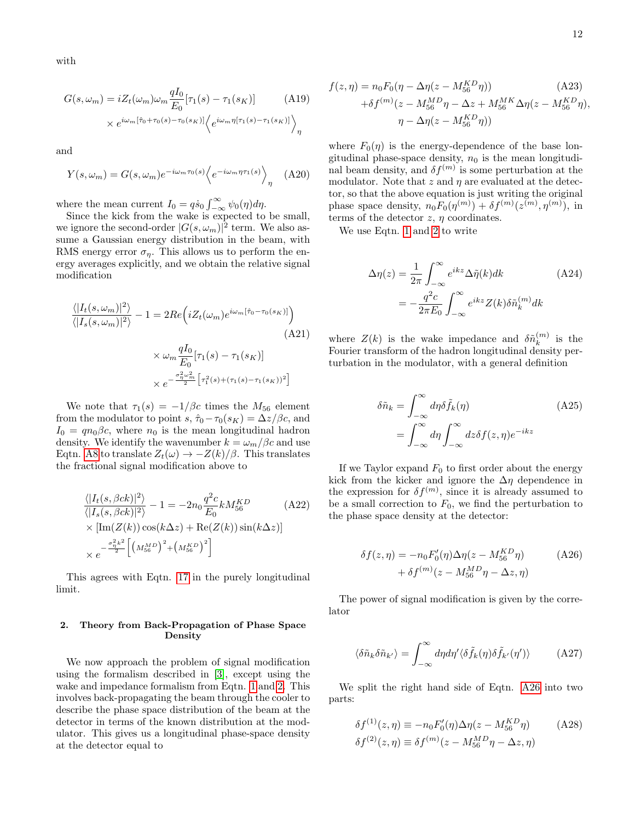with

$$
G(s,\omega_m) = iZ_t(\omega_m)\omega_m \frac{qI_0}{E_0} [\tau_1(s) - \tau_1(s_K)] \qquad (A19)
$$

$$
\times e^{i\omega_m[\hat{\tau}_0 + \tau_0(s) - \tau_0(s_K)]} \langle e^{i\omega_m \eta[\tau_1(s) - \tau_1(s_K)]} \rangle_{\eta}
$$

and

$$
Y(s,\omega_m) = G(s,\omega_m)e^{-i\omega_m\tau_0(s)}\left\langle e^{-i\omega_m\eta\tau_1(s)}\right\rangle_{\eta} \quad (A20)
$$

where the mean current  $I_0 = q\dot{s}_0 \int_{-\infty}^{\infty} \psi_0(\eta) d\eta$ .

Since the kick from the wake is expected to be small, we ignore the second-order  $|G(s, \omega_m)|^2$  term. We also assume a Gaussian energy distribution in the beam, with RMS energy error  $\sigma_{\eta}$ . This allows us to perform the energy averages explicitly, and we obtain the relative signal modification

$$
\frac{\langle |I_t(s, \omega_m)|^2 \rangle}{\langle |I_s(s, \omega_m)|^2 \rangle} - 1 = 2Re\left(iZ_t(\omega_m)e^{i\omega_m[\hat{\tau}_0 - \tau_0(s_K)]}\right)
$$
\n(A21)  
\n
$$
\times \omega_m \frac{qI_0}{E_0}[\tau_1(s) - \tau_1(s_K)]
$$
\n
$$
\times e^{-\frac{\sigma_n^2 \omega_m^2}{2} [\tau_1^2(s) + (\tau_1(s) - \tau_1(s_K))^2]}
$$

We note that  $\tau_1(s) = -1/\beta c$  times the  $M_{56}$  element from the modulator to point s,  $\hat{\tau}_0 - \tau_0(s_K) = \Delta z / \beta c$ , and  $I_0 = qn_0\beta c$ , where  $n_0$  is the mean longitudinal hadron density. We identify the wavenumber  $k = \omega_m/\beta c$  and use Eqtn. [A8](#page-10-2) to translate  $Z_t(\omega) \to -Z(k)/\beta$ . This translates the fractional signal modification above to

$$
\frac{\langle |I_t(s, \beta ck)|^2 \rangle}{\langle |I_s(s, \beta ck)|^2 \rangle} - 1 = -2n_0 \frac{q^2 c}{E_0} k M_{56}^{KD}
$$
\n
$$
\times \left[ \text{Im}(Z(k)) \cos(k\Delta z) + \text{Re}(Z(k)) \sin(k\Delta z) \right]
$$
\n
$$
\times e^{-\frac{\sigma_{\eta}^2 k^2}{2} \left[ \left( M_{56}^{MD} \right)^2 + \left( M_{56}^{KD} \right)^2 \right]}
$$
\n(A22)

This agrees with Eqtn. [17](#page-3-4) in the purely longitudinal limit.

# <span id="page-11-0"></span>2. Theory from Back-Propagation of Phase Space Density

We now approach the problem of signal modification using the formalism described in [\[3\]](#page-14-2), except using the wake and impedance formalism from Eqtn. [1](#page-1-4) and [2.](#page-1-3) This involves back-propagating the beam through the cooler to describe the phase space distribution of the beam at the detector in terms of the known distribution at the modulator. This gives us a longitudinal phase-space density at the detector equal to

$$
f(z,\eta) = n_0 F_0(\eta - \Delta \eta (z - M_{56}^{KD} \eta))
$$
\n
$$
+ \delta f^{(m)}(z - M_{56}^{MD} \eta - \Delta z + M_{56}^{MK} \Delta \eta (z - M_{56}^{KD} \eta),
$$
\n
$$
\eta - \Delta \eta (z - M_{56}^{KD} \eta))
$$
\n
$$
(A23)
$$

where  $F_0(\eta)$  is the energy-dependence of the base longitudinal phase-space density,  $n_0$  is the mean longitudinal beam density, and  $\delta f^{(m)}$  is some perturbation at the modulator. Note that  $z$  and  $\eta$  are evaluated at the detector, so that the above equation is just writing the original phase space density,  $n_0 F_0(\eta^{(m)}) + \delta f^{(m)}(z^{(m)}, \eta^{(m)})$ , in terms of the detector  $z, \eta$  coordinates.

We use Eqtn. [1](#page-1-4) and [2](#page-1-3) to write

<span id="page-11-2"></span>
$$
\Delta \eta(z) = \frac{1}{2\pi} \int_{-\infty}^{\infty} e^{ikz} \Delta \tilde{\eta}(k) dk \qquad (A24)
$$

$$
= -\frac{q^2 c}{2\pi E_0} \int_{-\infty}^{\infty} e^{ikz} Z(k) \delta \tilde{n}_k^{(m)} dk
$$

where  $Z(k)$  is the wake impedance and  $\delta \tilde{n}_{k}^{(m)}$  $\binom{m}{k}$  is the Fourier transform of the hadron longitudinal density perturbation in the modulator, with a general definition

$$
\delta \tilde{n}_k = \int_{-\infty}^{\infty} d\eta \delta \tilde{f}_k(\eta) \qquad (A25)
$$

$$
= \int_{-\infty}^{\infty} d\eta \int_{-\infty}^{\infty} dz \delta f(z, \eta) e^{-ikz}
$$

If we Taylor expand  $F_0$  to first order about the energy kick from the kicker and ignore the  $\Delta \eta$  dependence in the expression for  $\delta f^{(m)}$ , since it is already assumed to be a small correction to  $F_0$ , we find the perturbation to the phase space density at the detector:

<span id="page-11-1"></span>
$$
\delta f(z,\eta) = -n_0 F_0'(\eta) \Delta \eta (z - M_{56}^{KD} \eta)
$$
  
+ 
$$
\delta f^{(m)}(z - M_{56}^{MD} \eta - \Delta z, \eta)
$$
 (A26)

The power of signal modification is given by the correlator

<span id="page-11-4"></span>
$$
\langle \delta \tilde{n}_k \delta \tilde{n}_{k'} \rangle = \int_{-\infty}^{\infty} d\eta d\eta' \langle \delta \tilde{f}_k(\eta) \delta \tilde{f}_{k'}(\eta') \rangle \tag{A27}
$$

We split the right hand side of Eqtn. [A26](#page-11-1) into two parts:

<span id="page-11-3"></span>
$$
\delta f^{(1)}(z,\eta) \equiv -n_0 F_0'(\eta) \Delta \eta (z - M_{56}^{KD} \eta) \tag{A28}
$$
  

$$
\delta f^{(2)}(z,\eta) \equiv \delta f^{(m)}(z - M_{56}^{MD} \eta - \Delta z, \eta)
$$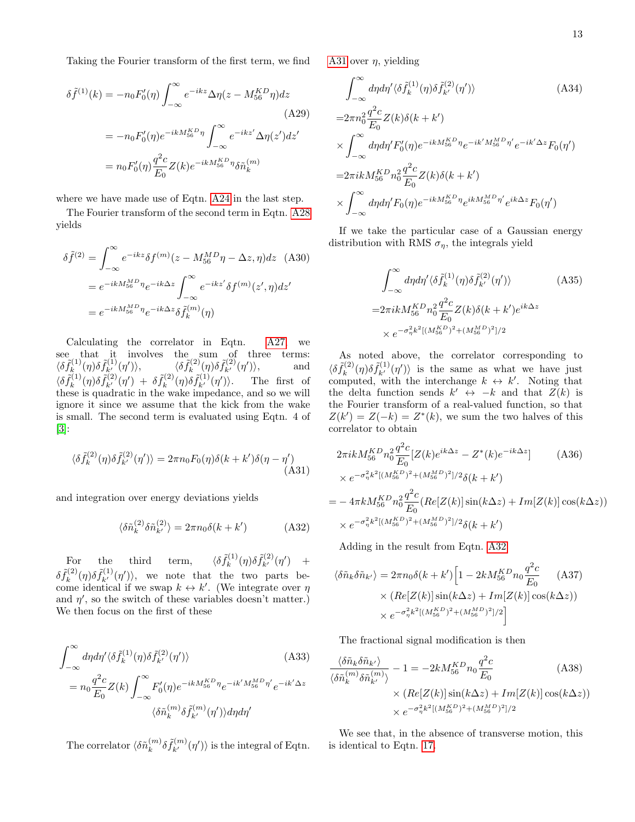Taking the Fourier transform of the first term, we find

$$
\delta \tilde{f}^{(1)}(k) = -n_0 F'_0(\eta) \int_{-\infty}^{\infty} e^{-ikz} \Delta \eta(z - M_{56}^{KD} \eta) dz
$$
\n(A29)\n
$$
= -n_0 F'_0(\eta) e^{-ikM_{56}^{KD} \eta} \int_{-\infty}^{\infty} e^{-ikz'} \Delta \eta(z') dz'
$$
\n
$$
= n_0 F'_0(\eta) \frac{q^2 c}{E_0} Z(k) e^{-ikM_{56}^{KD} \eta} \delta \tilde{n}_k^{(m)}
$$

where we have made use of Eqtn. [A24](#page-11-2) in the last step.

The Fourier transform of the second term in Eqtn. [A28](#page-11-3) yields

$$
\delta \tilde{f}^{(2)} = \int_{-\infty}^{\infty} e^{-ikz} \delta f^{(m)}(z - M_{56}^{MD} \eta - \Delta z, \eta) dz \quad (A30)
$$

$$
= e^{-ikM_{56}^{MD} \eta} e^{-ik\Delta z} \int_{-\infty}^{\infty} e^{-ikz'} \delta f^{(m)}(z', \eta) dz'
$$

$$
= e^{-ikM_{56}^{MD} \eta} e^{-ik\Delta z} \delta \tilde{f}_{k}^{(m)}(\eta)
$$

Calculating the correlator in Eqtn. [A27,](#page-11-4) we see that it involves the sum of three terms:  $\langle \delta \tilde{f}_k^{(1)}$  $\langle \delta \tilde{f}_{k}^{(1)}(\eta) \delta \tilde{f}_{k'}^{(1)}(\eta') \rangle, \qquad \qquad \langle \delta \tilde{f}_{k}^{(2)} \rangle.$  $\tilde{f}_k^{(2)}(\eta)\delta \tilde{f}_{k'}^{(2)}(\eta')\rangle,$  and  $\langle \delta \tilde{f}_k^{(1)}$  $\delta \tilde{f}_{k'}^{(1)}(\eta) \delta \tilde{f}_{k'}^{(2)}(\eta') + \delta \tilde{f}_{k}^{(2)}$  $\tilde{f}_k^{(2)}(\eta)\delta \tilde{f}_{k'}^{(1)}(\eta')\rangle$ . The first of these is quadratic in the wake impedance, and so we will ignore it since we assume that the kick from the wake is small. The second term is evaluated using Eqtn. 4 of [\[3\]](#page-14-2):

$$
\langle \delta \tilde{f}_k^{(2)}(\eta) \delta \tilde{f}_{k'}^{(2)}(\eta') \rangle = 2\pi n_0 F_0(\eta) \delta(k + k') \delta(\eta - \eta')
$$
(A31)

and integration over energy deviations yields

$$
\langle \delta \tilde{n}_k^{(2)} \delta \tilde{n}_{k'}^{(2)} \rangle = 2\pi n_0 \delta(k + k') \tag{A32}
$$

For the third term,  $\langle \delta \tilde{f}_k^{(1)} \rangle$  $\tilde{f}_{k}^{(1)}(\eta)\delta\tilde{f}_{k'}^{(2)}(\eta') +$  $\delta \tilde{f}_k^{(2)}$  $\tilde{f}_{k}^{(2)}(\eta)\delta\tilde{f}_{k'}^{(1)}(\eta')\rangle$ , we note that the two parts become identical if we swap  $k \leftrightarrow k'$ . (We integrate over  $\eta$ and  $\eta'$ , so the switch of these variables doesn't matter.) We then focus on the first of these

$$
\int_{-\infty}^{\infty} d\eta d\eta' \langle \delta \tilde{f}_k^{(1)}(\eta) \delta \tilde{f}_{k'}^{(2)}(\eta') \rangle
$$
\n
$$
= n_0 \frac{q^2 c}{E_0} Z(k) \int_{-\infty}^{\infty} F_0'(\eta) e^{-ikM_{56}^{KD}\eta} e^{-ik'M_{56}^{MD}\eta'} e^{-ik'\Delta z}
$$
\n
$$
\langle \delta \tilde{n}_k^{(m)} \delta \tilde{f}_{k'}^{(m)}(\eta') \rangle d\eta d\eta'
$$
\n(A33)

The correlator  $\langle \delta \tilde{n}_{k}^{(m)} \rangle$  $\binom{m}{k} \delta \tilde{f}_{k'}^{(m)}(\eta')$  is the integral of Eqtn. [A31](#page-12-0) over  $\eta$ , yielding

$$
\int_{-\infty}^{\infty} d\eta d\eta' \langle \delta \tilde{f}_k^{(1)}(\eta) \delta \tilde{f}_{k'}^{(2)}(\eta') \rangle
$$
\n(A34)  
\n
$$
=2\pi n_0^2 \frac{q^2 c}{E_0} Z(k) \delta(k+k')
$$
\n
$$
\times \int_{-\infty}^{\infty} d\eta d\eta' F_0'(\eta) e^{-ikM_{56}^{KD}\eta} e^{-ik'M_{56}^{MD}\eta'} e^{-ik'\Delta z} F_0(\eta')
$$
\n
$$
=2\pi ik M_{56}^{KD} n_0^2 \frac{q^2 c}{E_0} Z(k) \delta(k+k')
$$
\n
$$
\times \int_{-\infty}^{\infty} d\eta d\eta' F_0(\eta) e^{-ikM_{56}^{KD}\eta} e^{ikM_{56}^{MD}\eta'} e^{ik\Delta z} F_0(\eta')
$$

If we take the particular case of a Gaussian energy distribution with RMS  $\sigma_n$ , the integrals yield

$$
\int_{-\infty}^{\infty} d\eta d\eta' \langle \delta \tilde{f}_k^{(1)}(\eta) \delta \tilde{f}_{k'}^{(2)}(\eta') \rangle
$$
 (A35)  
=2\pi i k M\_{56}^{KD} n\_0^2 \frac{q^2 c}{E\_0} Z(k) \delta(k+k') e^{ik\Delta z}  
\times e^{-\sigma\_\eta^2 k^2 [(M\_{56}^{KO})^2 + (M\_{56}^{MD})^2]/2}

As noted above, the correlator corresponding to  $\langle \delta \tilde{f}_k^{(2)}$  $\tilde{f}_{k}^{(2)}(\eta)\delta\tilde{f}_{k'}^{(1)}(\eta')\rangle$  is the same as what we have just computed, with the interchange  $k \leftrightarrow k'$ . Noting that the delta function sends  $k' \leftrightarrow -k$  and that  $Z(k)$  is the Fourier transform of a real-valued function, so that  $Z(k') = Z(-k) = Z^*(k)$ , we sum the two halves of this correlator to obtain

<span id="page-12-0"></span>
$$
2\pi ik M_{56}^{KD} n_0^2 \frac{q^2 c}{E_0} [Z(k)e^{ik\Delta z} - Z^*(k)e^{-ik\Delta z}] \qquad (A36)
$$
  
\n
$$
\times e^{-\sigma_\eta^2 k^2 [(M_{56}^{KD})^2 + (M_{56}^{MD})^2]/2} \delta(k+k')
$$
  
\n
$$
= -4\pi k M_{56}^{KD} n_0^2 \frac{q^2 c}{E_0} (Re[Z(k)] \sin(k\Delta z) + Im[Z(k)] \cos(k\Delta z))
$$
  
\n
$$
\times e^{-\sigma_\eta^2 k^2 [(M_{56}^{KD})^2 + (M_{56}^{MD})^2]/2} \delta(k+k')
$$

<span id="page-12-1"></span>Adding in the result from Eqtn. [A32](#page-12-1)

$$
\langle \delta \tilde{n}_k \delta \tilde{n}_{k'} \rangle = 2\pi n_0 \delta(k + k') \Big[ 1 - 2k M_{56}^{KD} n_0 \frac{q^2 c}{E_0} \qquad (A37)
$$

$$
\times \left( Re[Z(k)] \sin(k \Delta z) + Im[Z(k)] \cos(k \Delta z) \right)
$$

$$
\times e^{-\sigma_n^2 k^2 \left[ (M_{56}^{KD})^2 + (M_{56}^{MD})^2 \right] / 2} \Big]
$$

The fractional signal modification is then

$$
\frac{\langle \delta \tilde{n}_k \delta \tilde{n}_{k'} \rangle}{\langle \delta \tilde{n}_k^{(m)} \delta \tilde{n}_{k'}^{(m)} \rangle} - 1 = -2k M_{56}^{KD} n_0 \frac{q^2 c}{E_0}
$$
\n
$$
\times (Re[Z(k)] \sin(k \Delta z) + Im[Z(k)] \cos(k \Delta z))
$$
\n
$$
\times e^{-\sigma_{\eta}^2 k^2 [(M_{56}^{KD})^2 + (M_{56}^{MD})^2]/2}
$$
\n(A38)

We see that, in the absence of transverse motion, this is identical to Eqtn. [17.](#page-3-4)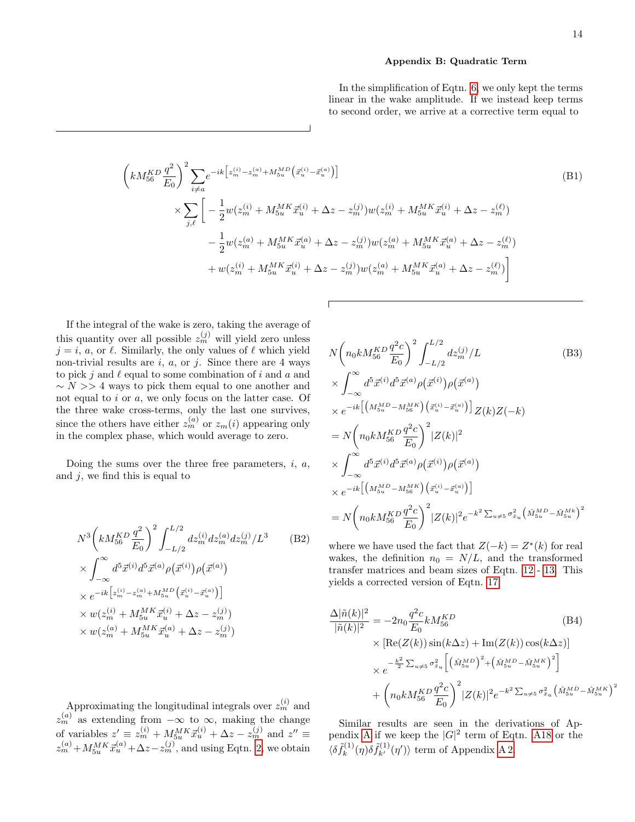### <span id="page-13-0"></span>Appendix B: Quadratic Term

In the simplification of Eqtn. [6,](#page-2-3) we only kept the terms linear in the wake amplitude. If we instead keep terms to second order, we arrive at a corrective term equal to

$$
\left(kM_{56}^{KD}\frac{q^2}{E_0}\right)^2 \sum_{i\neq a} e^{-ik\left[z_m^{(i)} - z_m^{(a)} + M_{5u}^{MD}\left(\vec{x}_u^{(i)} - \vec{x}_u^{(a)}\right)\right]}
$$
\n
$$
\times \sum_{j,\ell} \left[ -\frac{1}{2} w(z_m^{(i)} + M_{5u}^{MK}\vec{x}_u^{(i)} + \Delta z - z_m^{(j)}) w(z_m^{(i)} + M_{5u}^{MK}\vec{x}_u^{(i)} + \Delta z - z_m^{(\ell)}) - \frac{1}{2} w(z_m^{(a)} + M_{5u}^{MK}\vec{x}_u^{(a)} + \Delta z - z_m^{(j)}) w(z_m^{(a)} + M_{5u}^{MK}\vec{x}_u^{(a)} + \Delta z - z_m^{(\ell)}) + w(z_m^{(i)} + M_{5u}^{MK}\vec{x}_u^{(i)} + \Delta z - z_m^{(j)}) w(z_m^{(a)} + M_{5u}^{MK}\vec{x}_u^{(a)} + \Delta z - z_m^{(\ell)}) \right]
$$
\n(B1)

If the integral of the wake is zero, taking the average of this quantity over all possible  $z_m^{(j)}$  will yield zero unless  $j = i$ , a, or  $\ell$ . Similarly, the only values of  $\ell$  which yield non-trivial results are  $i, a,$  or  $j$ . Since there are 4 ways to pick j and  $\ell$  equal to some combination of i and a and  $\sim N >> 4$  ways to pick them equal to one another and not equal to  $i$  or  $a$ , we only focus on the latter case. Of the three wake cross-terms, only the last one survives, since the others have either  $z_m^{(a)}$  or  $z_m(i)$  appearing only in the complex phase, which would average to zero.

Doing the sums over the three free parameters,  $i, a$ , and  $j$ , we find this is equal to

$$
N^{3} \left( k M_{56}^{KD} \frac{q^{2}}{E_{0}} \right)^{2} \int_{-L/2}^{L/2} dz_{m}^{(i)} dz_{m}^{(a)} dz_{m}^{(j)} / L^{3}
$$
(B2)  
\n
$$
\times \int_{-\infty}^{\infty} d^{5} \vec{x}^{(i)} d^{5} \vec{x}^{(a)} \rho(\vec{x}^{(i)}) \rho(\vec{x}^{(a)})
$$
\n
$$
\times e^{-ik \left[ z_{m}^{(i)} - z_{m}^{(a)} + M_{5u}^{MD} \left( \vec{x}_{u}^{(i)} - \vec{x}_{u}^{(a)} \right) \right]}
$$
\n
$$
\times w(z_{m}^{(i)} + M_{5u}^{MK} \vec{x}_{u}^{(i)} + \Delta z - z_{m}^{(j)})
$$
\n
$$
\times w(z_{m}^{(a)} + M_{5u}^{MK} \vec{x}_{u}^{(a)} + \Delta z - z_{m}^{(j)})
$$

$$
N\left(n_{0}kM_{56}^{KD}\frac{q^{2}c}{E_{0}}\right)^{2}\int_{-L/2}^{L/2}dz_{m}^{(j)}/L
$$
(B3)  
\n
$$
\times \int_{-\infty}^{\infty}d^{5}\vec{x}^{(i)}d^{5}\vec{x}^{(a)}\rho(\vec{x}^{(i)})\rho(\vec{x}^{(a)})
$$
  
\n
$$
\times e^{-ik}\left[\left(M_{5u}^{MD}-M_{56}^{MK}\right)\left(\vec{x}_{u}^{(i)}-\vec{x}_{u}^{(a)}\right)\right]Z(k)Z(-k)
$$
  
\n
$$
=N\left(n_{0}kM_{56}^{KD}\frac{q^{2}c}{E_{0}}\right)^{2}|Z(k)|^{2}
$$
  
\n
$$
\times \int_{-\infty}^{\infty}d^{5}\vec{x}^{(i)}d^{5}\vec{x}^{(a)}\rho(\vec{x}^{(i)})\rho(\vec{x}^{(a)})
$$
  
\n
$$
\times e^{-ik}\left[\left(M_{5u}^{MD}-M_{56}^{MK}\right)\left(\vec{x}_{u}^{(i)}-\vec{x}_{u}^{(a)}\right)\right]
$$
  
\n
$$
=N\left(n_{0}kM_{56}^{KD}\frac{q^{2}c}{E_{0}}\right)^{2}|Z(k)|^{2}e^{-k^{2}\sum_{u\neq5}\sigma_{x}^{2}u}\left(\hat{M}_{5u}^{MD}-\hat{M}_{5u}^{MK}\right)^{2}
$$

where we have used the fact that  $Z(-k) = Z^*(k)$  for real wakes, the definition  $n_0 = N/L$ , and the transformed transfer matrices and beam sizes of Eqtn. [12](#page-3-5) - [13.](#page-3-6) This yields a corrected version of Eqtn. [17:](#page-3-4)

$$
\frac{\Delta |\tilde{n}(k)|^2}{|\tilde{n}(k)|^2} = -2n_0 \frac{q^2 c}{E_0} k M_{56}^{KD} \qquad (B4)
$$
  
\$\times [\text{Re}(Z(k)) \sin(k\Delta z) + \text{Im}(Z(k)) \cos(k\Delta z)]\$  
\$\times e^{-\frac{k^2}{2} \sum\_{u \neq 5} \sigma\_{x\_u}^2} \left[ \left(\hat{M}\_{5u}^{MD}\right)^2 + \left(\hat{M}\_{5u}^{MD} - \hat{M}\_{5u}^{MK}\right)^2 \right] \$  
\$+ \left(n\_0 k M\_{56}^{KD} \frac{q^2 c}{E\_0}\right)^2 |Z(k)|^2 e^{-k^2 \sum\_{u \neq 5} \sigma\_{x\_u}^2} \left(\hat{M}\_{5u}^{MD} - \hat{M}\_{5u}^{MK}\right) \$

2

Approximating the longitudinal integrals over  $z_m^{(i)}$  and  $z_m^{(a)}$  as extending from  $-\infty$  to  $\infty$ , making the change of variables  $z' \equiv z_m^{(i)} + M_{5u}^{MK} \vec{x}_u^{(i)} + \Delta z - z_m^{(j)}$  and  $z'' \equiv$  $z_m^{(a)} + M_{5u}^{MK} \vec{x}_u^{(a)} + \Delta z - z_m^{(j)}$ , and using Eqtn. [2,](#page-1-3) we obtain

Similar results are seen in the derivations of Ap-pendix [A](#page-9-1) if we keep the  $|G|^2$  term of Eqtn. [A18](#page-10-3) or the  $\langle \delta \tilde{f}_k^{(1)}$  $\tilde{f}_k^{(1)}(\eta)\delta \tilde{f}_{k'}^{(1)}(\eta')\rangle$  term of Appendix [A 2.](#page-11-0)